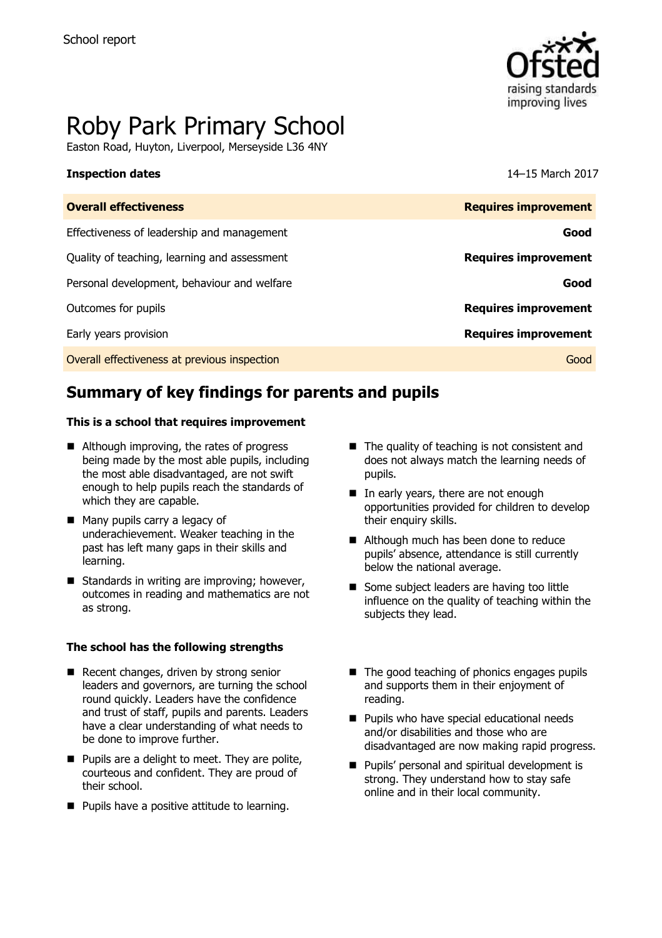

# Roby Park Primary School

Easton Road, Huyton, Liverpool, Merseyside L36 4NY

#### **Inspection dates** 14–15 March 2017

| <b>Overall effectiveness</b>                 | <b>Requires improvement</b> |
|----------------------------------------------|-----------------------------|
| Effectiveness of leadership and management   | Good                        |
| Quality of teaching, learning and assessment | <b>Requires improvement</b> |
| Personal development, behaviour and welfare  | Good                        |
| Outcomes for pupils                          | <b>Requires improvement</b> |
| Early years provision                        | <b>Requires improvement</b> |
| Overall effectiveness at previous inspection | Good                        |

# **Summary of key findings for parents and pupils**

#### **This is a school that requires improvement**

- Although improving, the rates of progress being made by the most able pupils, including the most able disadvantaged, are not swift enough to help pupils reach the standards of which they are capable.
- Many pupils carry a legacy of underachievement. Weaker teaching in the past has left many gaps in their skills and learning.
- $\blacksquare$  Standards in writing are improving; however, outcomes in reading and mathematics are not as strong.

#### **The school has the following strengths**

- Recent changes, driven by strong senior leaders and governors, are turning the school round quickly. Leaders have the confidence and trust of staff, pupils and parents. Leaders have a clear understanding of what needs to be done to improve further.
- $\blacksquare$  Pupils are a delight to meet. They are polite, courteous and confident. They are proud of their school.
- **Pupils have a positive attitude to learning.**
- The quality of teaching is not consistent and does not always match the learning needs of pupils.
- In early years, there are not enough opportunities provided for children to develop their enquiry skills.
- Although much has been done to reduce pupils' absence, attendance is still currently below the national average.
- Some subject leaders are having too little influence on the quality of teaching within the subjects they lead.
- $\blacksquare$  The good teaching of phonics engages pupils and supports them in their enjoyment of reading.
- **Pupils who have special educational needs** and/or disabilities and those who are disadvantaged are now making rapid progress.
- Pupils' personal and spiritual development is strong. They understand how to stay safe online and in their local community.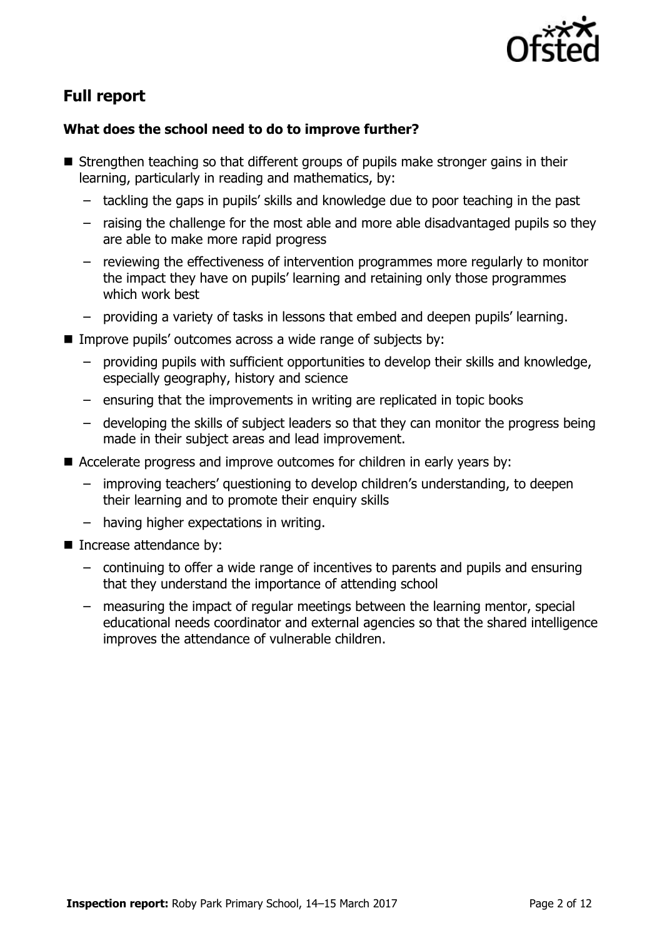

# **Full report**

### **What does the school need to do to improve further?**

- Strengthen teaching so that different groups of pupils make stronger gains in their learning, particularly in reading and mathematics, by:
	- tackling the gaps in pupils' skills and knowledge due to poor teaching in the past
	- raising the challenge for the most able and more able disadvantaged pupils so they are able to make more rapid progress
	- reviewing the effectiveness of intervention programmes more regularly to monitor the impact they have on pupils' learning and retaining only those programmes which work best
	- providing a variety of tasks in lessons that embed and deepen pupils' learning.
- Improve pupils' outcomes across a wide range of subjects by:
	- providing pupils with sufficient opportunities to develop their skills and knowledge, especially geography, history and science
	- ensuring that the improvements in writing are replicated in topic books
	- developing the skills of subject leaders so that they can monitor the progress being made in their subject areas and lead improvement.
- Accelerate progress and improve outcomes for children in early years by:
	- improving teachers' questioning to develop children's understanding, to deepen their learning and to promote their enquiry skills
	- having higher expectations in writing.
- Increase attendance by:
	- continuing to offer a wide range of incentives to parents and pupils and ensuring that they understand the importance of attending school
	- measuring the impact of regular meetings between the learning mentor, special educational needs coordinator and external agencies so that the shared intelligence improves the attendance of vulnerable children.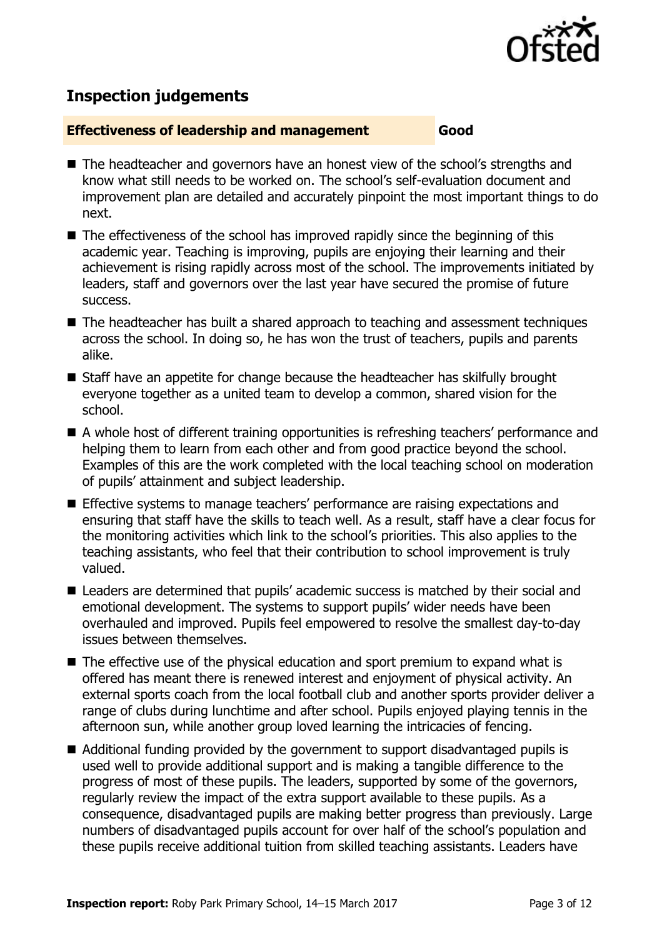

# **Inspection judgements**

#### **Effectiveness of leadership and management Good**

- The headteacher and governors have an honest view of the school's strengths and know what still needs to be worked on. The school's self-evaluation document and improvement plan are detailed and accurately pinpoint the most important things to do next.
- $\blacksquare$  The effectiveness of the school has improved rapidly since the beginning of this academic year. Teaching is improving, pupils are enjoying their learning and their achievement is rising rapidly across most of the school. The improvements initiated by leaders, staff and governors over the last year have secured the promise of future success.
- The headteacher has built a shared approach to teaching and assessment techniques across the school. In doing so, he has won the trust of teachers, pupils and parents alike.
- Staff have an appetite for change because the headteacher has skilfully brought everyone together as a united team to develop a common, shared vision for the school.
- A whole host of different training opportunities is refreshing teachers' performance and helping them to learn from each other and from good practice beyond the school. Examples of this are the work completed with the local teaching school on moderation of pupils' attainment and subject leadership.
- Effective systems to manage teachers' performance are raising expectations and ensuring that staff have the skills to teach well. As a result, staff have a clear focus for the monitoring activities which link to the school's priorities. This also applies to the teaching assistants, who feel that their contribution to school improvement is truly valued.
- Leaders are determined that pupils' academic success is matched by their social and emotional development. The systems to support pupils' wider needs have been overhauled and improved. Pupils feel empowered to resolve the smallest day-to-day issues between themselves.
- $\blacksquare$  The effective use of the physical education and sport premium to expand what is offered has meant there is renewed interest and enjoyment of physical activity. An external sports coach from the local football club and another sports provider deliver a range of clubs during lunchtime and after school. Pupils enjoyed playing tennis in the afternoon sun, while another group loved learning the intricacies of fencing.
- Additional funding provided by the government to support disadvantaged pupils is used well to provide additional support and is making a tangible difference to the progress of most of these pupils. The leaders, supported by some of the governors, regularly review the impact of the extra support available to these pupils. As a consequence, disadvantaged pupils are making better progress than previously. Large numbers of disadvantaged pupils account for over half of the school's population and these pupils receive additional tuition from skilled teaching assistants. Leaders have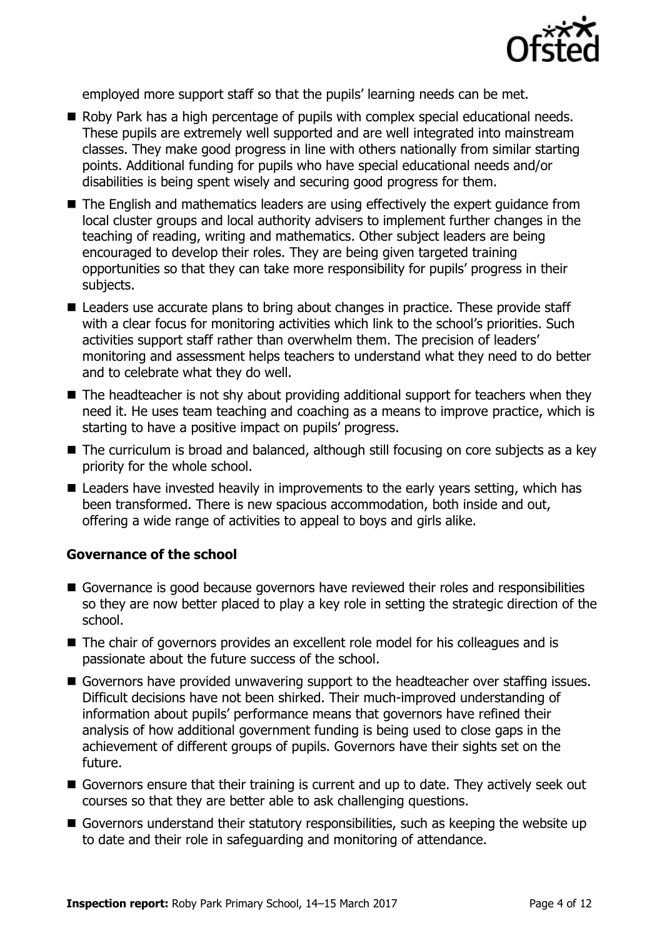

employed more support staff so that the pupils' learning needs can be met.

- Roby Park has a high percentage of pupils with complex special educational needs. These pupils are extremely well supported and are well integrated into mainstream classes. They make good progress in line with others nationally from similar starting points. Additional funding for pupils who have special educational needs and/or disabilities is being spent wisely and securing good progress for them.
- The English and mathematics leaders are using effectively the expert guidance from local cluster groups and local authority advisers to implement further changes in the teaching of reading, writing and mathematics. Other subject leaders are being encouraged to develop their roles. They are being given targeted training opportunities so that they can take more responsibility for pupils' progress in their subjects.
- Leaders use accurate plans to bring about changes in practice. These provide staff with a clear focus for monitoring activities which link to the school's priorities. Such activities support staff rather than overwhelm them. The precision of leaders' monitoring and assessment helps teachers to understand what they need to do better and to celebrate what they do well.
- $\blacksquare$  The headteacher is not shy about providing additional support for teachers when they need it. He uses team teaching and coaching as a means to improve practice, which is starting to have a positive impact on pupils' progress.
- The curriculum is broad and balanced, although still focusing on core subjects as a key priority for the whole school.
- Leaders have invested heavily in improvements to the early years setting, which has been transformed. There is new spacious accommodation, both inside and out, offering a wide range of activities to appeal to boys and girls alike.

#### **Governance of the school**

- Governance is good because governors have reviewed their roles and responsibilities so they are now better placed to play a key role in setting the strategic direction of the school.
- The chair of governors provides an excellent role model for his colleagues and is passionate about the future success of the school.
- Governors have provided unwavering support to the headteacher over staffing issues. Difficult decisions have not been shirked. Their much-improved understanding of information about pupils' performance means that governors have refined their analysis of how additional government funding is being used to close gaps in the achievement of different groups of pupils. Governors have their sights set on the future.
- Governors ensure that their training is current and up to date. They actively seek out courses so that they are better able to ask challenging questions.
- Governors understand their statutory responsibilities, such as keeping the website up to date and their role in safeguarding and monitoring of attendance.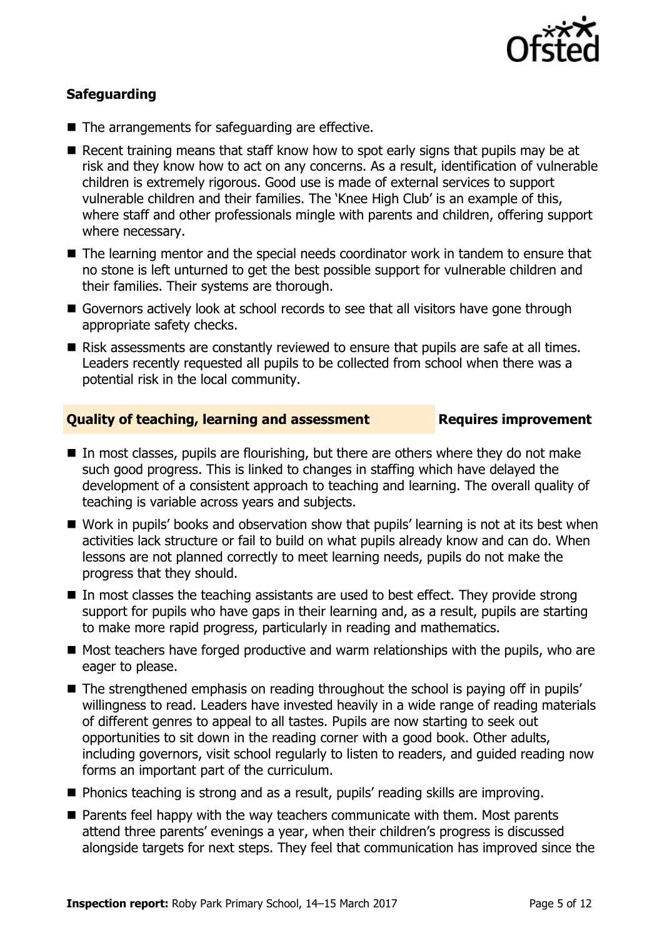

### **Safeguarding**

- The arrangements for safeguarding are effective.
- Recent training means that staff know how to spot early signs that pupils may be at risk and they know how to act on any concerns. As a result, identification of vulnerable children is extremely rigorous. Good use is made of external services to support vulnerable children and their families. The 'Knee High Club' is an example of this, where staff and other professionals mingle with parents and children, offering support where necessary.
- The learning mentor and the special needs coordinator work in tandem to ensure that no stone is left unturned to get the best possible support for vulnerable children and their families. Their systems are thorough.
- Governors actively look at school records to see that all visitors have gone through appropriate safety checks.
- Risk assessments are constantly reviewed to ensure that pupils are safe at all times. Leaders recently requested all pupils to be collected from school when there was a potential risk in the local community.

#### **Quality of teaching, learning and assessment Requires improvement**

- $\blacksquare$  In most classes, pupils are flourishing, but there are others where they do not make such good progress. This is linked to changes in staffing which have delayed the development of a consistent approach to teaching and learning. The overall quality of teaching is variable across years and subjects.
- Work in pupils' books and observation show that pupils' learning is not at its best when activities lack structure or fail to build on what pupils already know and can do. When lessons are not planned correctly to meet learning needs, pupils do not make the progress that they should.
- In most classes the teaching assistants are used to best effect. They provide strong support for pupils who have gaps in their learning and, as a result, pupils are starting to make more rapid progress, particularly in reading and mathematics.
- $\blacksquare$  Most teachers have forged productive and warm relationships with the pupils, who are eager to please.
- The strengthened emphasis on reading throughout the school is paying off in pupils' willingness to read. Leaders have invested heavily in a wide range of reading materials of different genres to appeal to all tastes. Pupils are now starting to seek out opportunities to sit down in the reading corner with a good book. Other adults, including governors, visit school regularly to listen to readers, and guided reading now forms an important part of the curriculum.
- Phonics teaching is strong and as a result, pupils' reading skills are improving.
- **Parents feel happy with the way teachers communicate with them. Most parents** attend three parents' evenings a year, when their children's progress is discussed alongside targets for next steps. They feel that communication has improved since the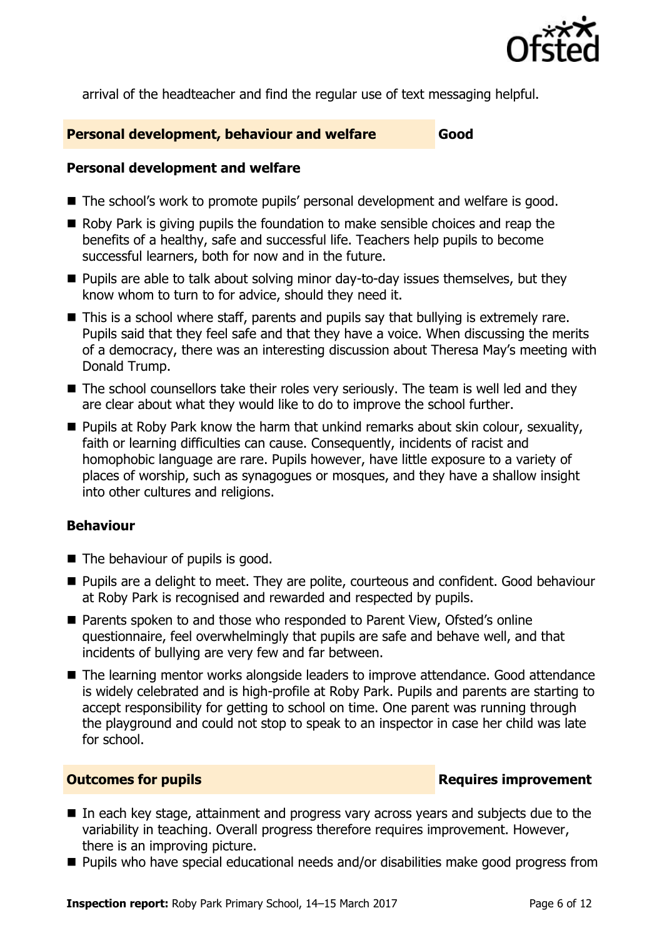

arrival of the headteacher and find the regular use of text messaging helpful.

#### **Personal development, behaviour and welfare Good**

### **Personal development and welfare**

- The school's work to promote pupils' personal development and welfare is good.
- $\blacksquare$  Roby Park is giving pupils the foundation to make sensible choices and reap the benefits of a healthy, safe and successful life. Teachers help pupils to become successful learners, both for now and in the future.
- **Pupils are able to talk about solving minor day-to-day issues themselves, but they** know whom to turn to for advice, should they need it.
- This is a school where staff, parents and pupils say that bullying is extremely rare. Pupils said that they feel safe and that they have a voice. When discussing the merits of a democracy, there was an interesting discussion about Theresa May's meeting with Donald Trump.
- The school counsellors take their roles very seriously. The team is well led and they are clear about what they would like to do to improve the school further.
- **Pupils at Roby Park know the harm that unkind remarks about skin colour, sexuality,** faith or learning difficulties can cause. Consequently, incidents of racist and homophobic language are rare. Pupils however, have little exposure to a variety of places of worship, such as synagogues or mosques, and they have a shallow insight into other cultures and religions.

### **Behaviour**

- $\blacksquare$  The behaviour of pupils is good.
- **Pupils are a delight to meet. They are polite, courteous and confident. Good behaviour** at Roby Park is recognised and rewarded and respected by pupils.
- Parents spoken to and those who responded to Parent View, Ofsted's online questionnaire, feel overwhelmingly that pupils are safe and behave well, and that incidents of bullying are very few and far between.
- The learning mentor works alongside leaders to improve attendance. Good attendance is widely celebrated and is high-profile at Roby Park. Pupils and parents are starting to accept responsibility for getting to school on time. One parent was running through the playground and could not stop to speak to an inspector in case her child was late for school.

### **Outcomes for pupils Requires improvement**

- In each key stage, attainment and progress vary across years and subjects due to the variability in teaching. Overall progress therefore requires improvement. However, there is an improving picture.
- Pupils who have special educational needs and/or disabilities make good progress from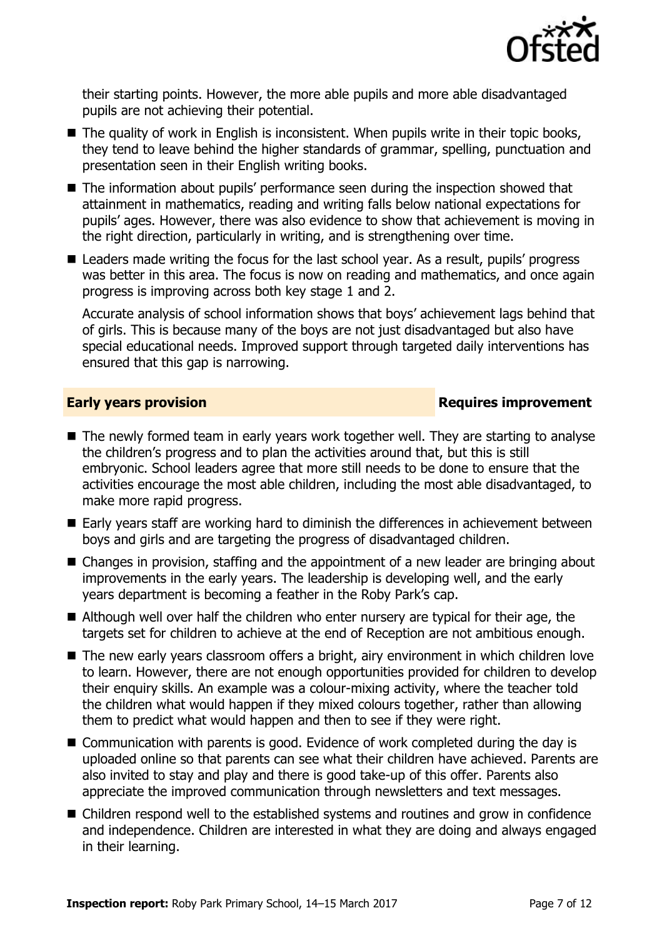

their starting points. However, the more able pupils and more able disadvantaged pupils are not achieving their potential.

- The quality of work in English is inconsistent. When pupils write in their topic books, they tend to leave behind the higher standards of grammar, spelling, punctuation and presentation seen in their English writing books.
- The information about pupils' performance seen during the inspection showed that attainment in mathematics, reading and writing falls below national expectations for pupils' ages. However, there was also evidence to show that achievement is moving in the right direction, particularly in writing, and is strengthening over time.
- Leaders made writing the focus for the last school year. As a result, pupils' progress was better in this area. The focus is now on reading and mathematics, and once again progress is improving across both key stage 1 and 2.

Accurate analysis of school information shows that boys' achievement lags behind that of girls. This is because many of the boys are not just disadvantaged but also have special educational needs. Improved support through targeted daily interventions has ensured that this gap is narrowing.

### **Early years provision**

- The newly formed team in early years work together well. They are starting to analyse the children's progress and to plan the activities around that, but this is still embryonic. School leaders agree that more still needs to be done to ensure that the activities encourage the most able children, including the most able disadvantaged, to make more rapid progress.
- Early years staff are working hard to diminish the differences in achievement between boys and girls and are targeting the progress of disadvantaged children.
- Changes in provision, staffing and the appointment of a new leader are bringing about improvements in the early years. The leadership is developing well, and the early years department is becoming a feather in the Roby Park's cap.
- Although well over half the children who enter nursery are typical for their age, the targets set for children to achieve at the end of Reception are not ambitious enough.
- The new early years classroom offers a bright, airy environment in which children love to learn. However, there are not enough opportunities provided for children to develop their enquiry skills. An example was a colour-mixing activity, where the teacher told the children what would happen if they mixed colours together, rather than allowing them to predict what would happen and then to see if they were right.
- Communication with parents is good. Evidence of work completed during the day is uploaded online so that parents can see what their children have achieved. Parents are also invited to stay and play and there is good take-up of this offer. Parents also appreciate the improved communication through newsletters and text messages.
- Children respond well to the established systems and routines and grow in confidence and independence. Children are interested in what they are doing and always engaged in their learning.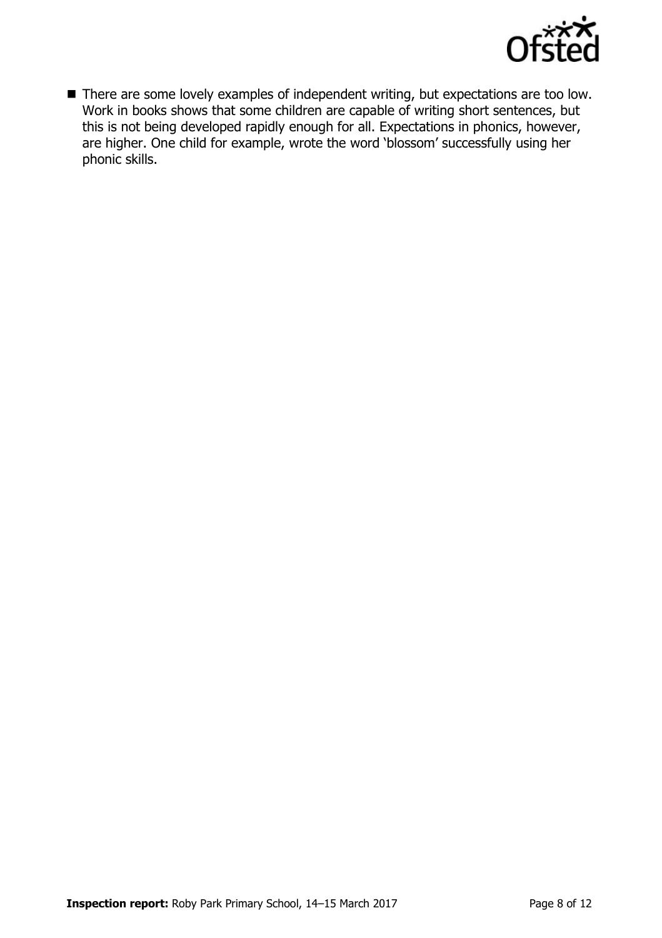

■ There are some lovely examples of independent writing, but expectations are too low. Work in books shows that some children are capable of writing short sentences, but this is not being developed rapidly enough for all. Expectations in phonics, however, are higher. One child for example, wrote the word 'blossom' successfully using her phonic skills.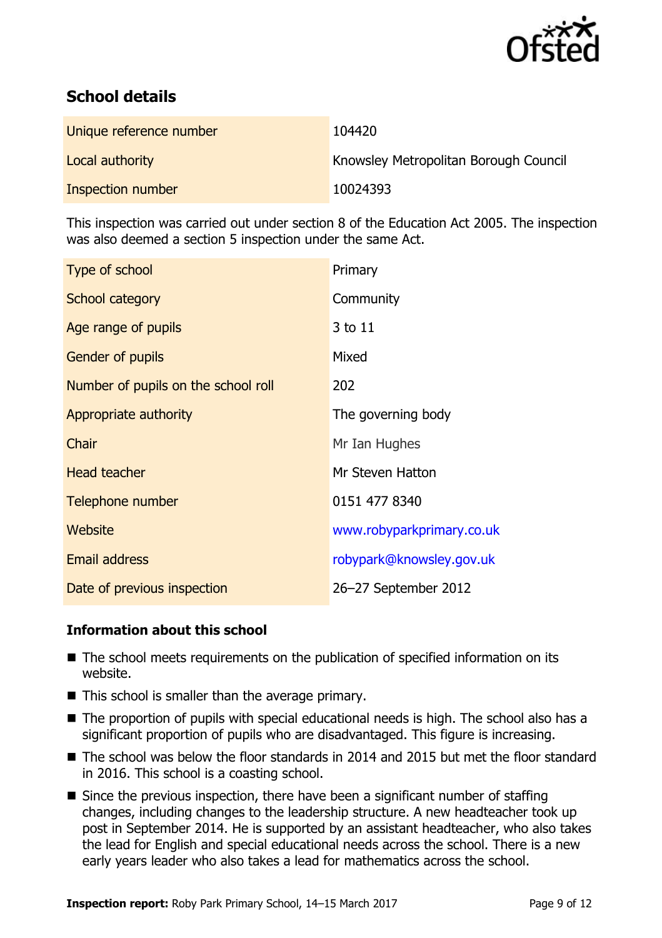

# **School details**

| Unique reference number | 104420                                |
|-------------------------|---------------------------------------|
| Local authority         | Knowsley Metropolitan Borough Council |
| Inspection number       | 10024393                              |

This inspection was carried out under section 8 of the Education Act 2005. The inspection was also deemed a section 5 inspection under the same Act.

| Type of school                      | Primary                   |
|-------------------------------------|---------------------------|
| School category                     | Community                 |
| Age range of pupils                 | 3 to 11                   |
| <b>Gender of pupils</b>             | Mixed                     |
| Number of pupils on the school roll | 202                       |
| Appropriate authority               | The governing body        |
| Chair                               | Mr Ian Hughes             |
| <b>Head teacher</b>                 | Mr Steven Hatton          |
| Telephone number                    | 0151 477 8340             |
| Website                             | www.robyparkprimary.co.uk |
| <b>Email address</b>                | robypark@knowsley.gov.uk  |
| Date of previous inspection         | 26–27 September 2012      |

### **Information about this school**

- The school meets requirements on the publication of specified information on its website.
- $\blacksquare$  This school is smaller than the average primary.
- The proportion of pupils with special educational needs is high. The school also has a significant proportion of pupils who are disadvantaged. This figure is increasing.
- The school was below the floor standards in 2014 and 2015 but met the floor standard in 2016. This school is a coasting school.
- $\blacksquare$  Since the previous inspection, there have been a significant number of staffing changes, including changes to the leadership structure. A new headteacher took up post in September 2014. He is supported by an assistant headteacher, who also takes the lead for English and special educational needs across the school. There is a new early years leader who also takes a lead for mathematics across the school.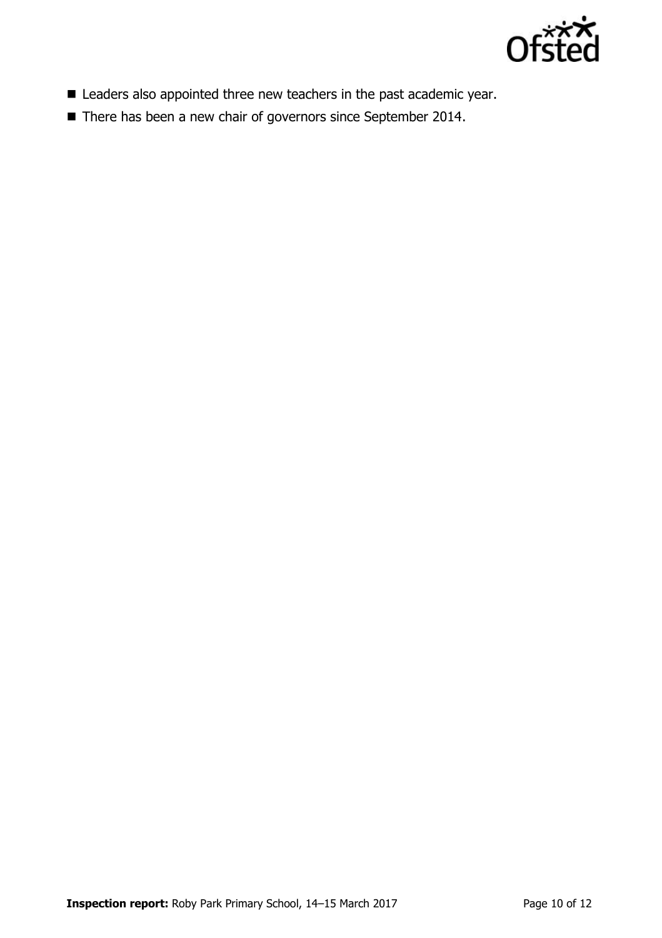

- **E** Leaders also appointed three new teachers in the past academic year.
- There has been a new chair of governors since September 2014.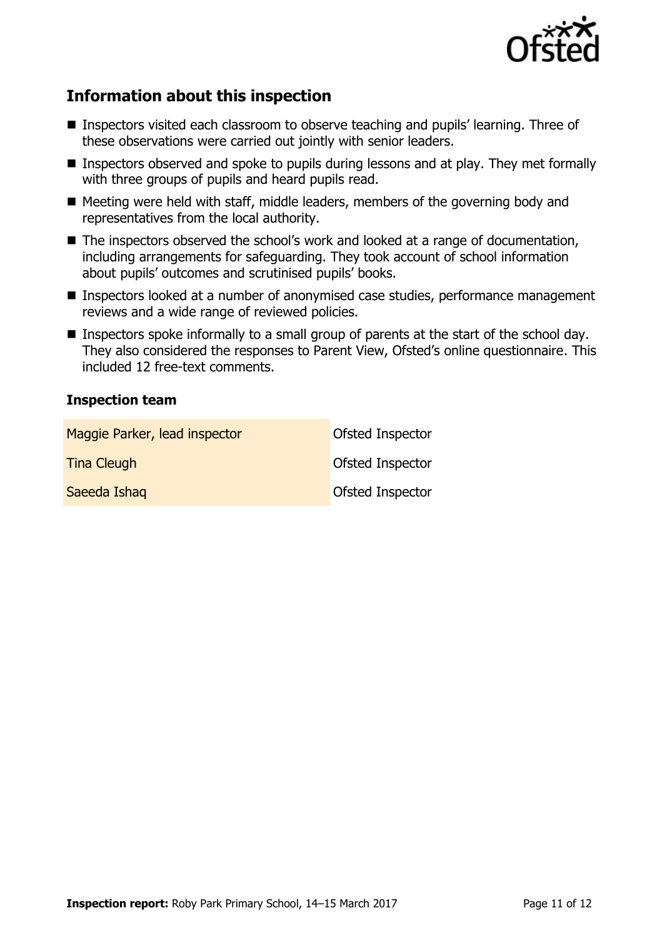

## **Information about this inspection**

- Inspectors visited each classroom to observe teaching and pupils' learning. Three of these observations were carried out jointly with senior leaders.
- Inspectors observed and spoke to pupils during lessons and at play. They met formally with three groups of pupils and heard pupils read.
- $\blacksquare$  Meeting were held with staff, middle leaders, members of the governing body and representatives from the local authority.
- The inspectors observed the school's work and looked at a range of documentation, including arrangements for safeguarding. They took account of school information about pupils' outcomes and scrutinised pupils' books.
- **Inspectors looked at a number of anonymised case studies, performance management** reviews and a wide range of reviewed policies.
- **Inspectors spoke informally to a small group of parents at the start of the school day.** They also considered the responses to Parent View, Ofsted's online questionnaire. This included 12 free-text comments.

#### **Inspection team**

| Maggie Parker, lead inspector | <b>Ofsted Inspector</b> |
|-------------------------------|-------------------------|
| <b>Tina Cleugh</b>            | Ofsted Inspector        |
| Saeeda Ishaq                  | Ofsted Inspector        |